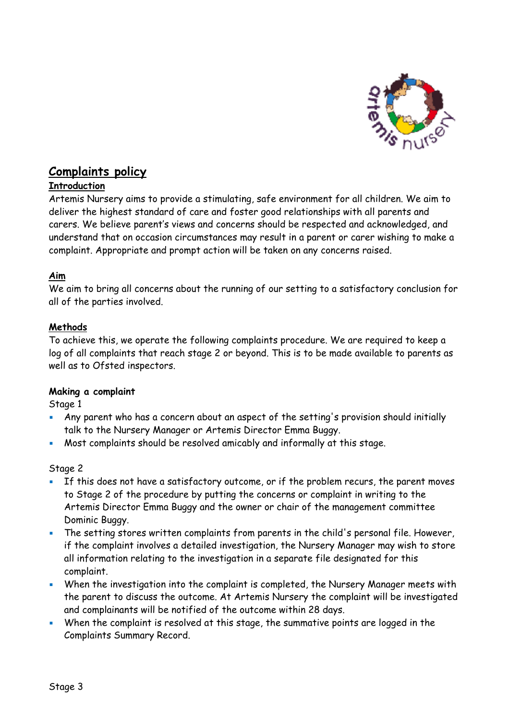

# **Complaints policy**

## **Introduction**

Artemis Nursery aims to provide a stimulating, safe environment for all children. We aim to deliver the highest standard of care and foster good relationships with all parents and carers. We believe parent's views and concerns should be respected and acknowledged, and understand that on occasion circumstances may result in a parent or carer wishing to make a complaint. Appropriate and prompt action will be taken on any concerns raised.

## **Aim**

We aim to bring all concerns about the running of our setting to a satisfactory conclusion for all of the parties involved.

## **Methods**

To achieve this, we operate the following complaints procedure. We are required to keep a log of all complaints that reach stage 2 or beyond. This is to be made available to parents as well as to Ofsted inspectors.

#### **Making a complaint**

Stage 1

- Any parent who has a concern about an aspect of the setting's provision should initially talk to the Nursery Manager or Artemis Director Emma Buggy.
- Most complaints should be resolved amicably and informally at this stage.

Stage 2

- If this does not have a satisfactory outcome, or if the problem recurs, the parent moves to Stage 2 of the procedure by putting the concerns or complaint in writing to the Artemis Director Emma Buggy and the owner or chair of the management committee Dominic Buggy.
- **EXECT** The setting stores written complaints from parents in the child's personal file. However, if the complaint involves a detailed investigation, the Nursery Manager may wish to store all information relating to the investigation in a separate file designated for this complaint.
- **When the investigation into the complaint is completed, the Nursery Manager meets with** the parent to discuss the outcome. At Artemis Nursery the complaint will be investigated and complainants will be notified of the outcome within 28 days.
- **When the complaint is resolved at this stage, the summative points are logged in the** Complaints Summary Record.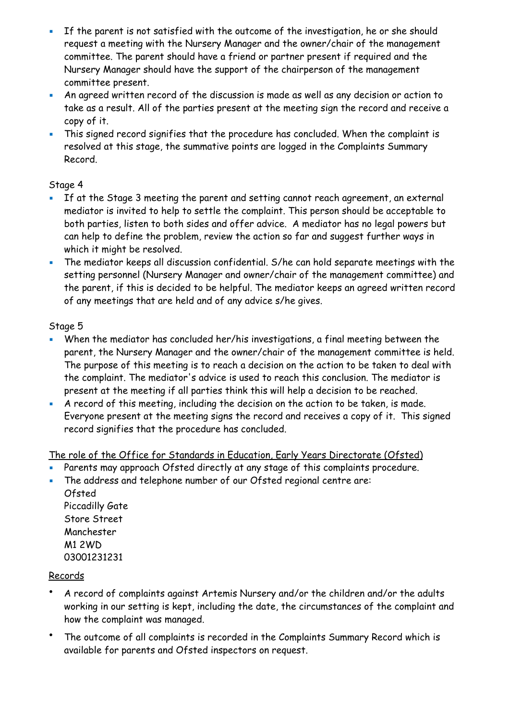- **EXT** If the parent is not satisfied with the outcome of the investigation, he or she should request a meeting with the Nursery Manager and the owner/chair of the management committee. The parent should have a friend or partner present if required and the Nursery Manager should have the support of the chairperson of the management committee present.
- An agreed written record of the discussion is made as well as any decision or action to take as a result. All of the parties present at the meeting sign the record and receive a copy of it.
- This signed record signifies that the procedure has concluded. When the complaint is resolved at this stage, the summative points are logged in the Complaints Summary Record.

# Stage 4

- **EXTE 15 If at the Stage 3 meeting the parent and setting cannot reach agreement, an external** mediator is invited to help to settle the complaint. This person should be acceptable to both parties, listen to both sides and offer advice. A mediator has no legal powers but can help to define the problem, review the action so far and suggest further ways in which it might be resolved.
- The mediator keeps all discussion confidential. S/he can hold separate meetings with the setting personnel (Nursery Manager and owner/chair of the management committee) and the parent, if this is decided to be helpful. The mediator keeps an agreed written record of any meetings that are held and of any advice s/he gives.

# Stage 5

- **When the mediator has concluded her/his investigations, a final meeting between the** parent, the Nursery Manager and the owner/chair of the management committee is held. The purpose of this meeting is to reach a decision on the action to be taken to deal with the complaint. The mediator's advice is used to reach this conclusion. The mediator is present at the meeting if all parties think this will help a decision to be reached.
- **EXECT** A record of this meeting, including the decision on the action to be taken, is made. Everyone present at the meeting signs the record and receives a copy of it. This signed record signifies that the procedure has concluded.

# The role of the Office for Standards in Education, Early Years Directorate (Ofsted)

- Parents may approach Ofsted directly at any stage of this complaints procedure.
- The address and telephone number of our Ofsted regional centre are:

Ofsted Piccadilly Gate Store Street Manchester M1 2WD 03001231231

## Records

- A record of complaints against Artemis Nursery and/or the children and/or the adults working in our setting is kept, including the date, the circumstances of the complaint and how the complaint was managed.
- The outcome of all complaints is recorded in the Complaints Summary Record which is available for parents and Ofsted inspectors on request.